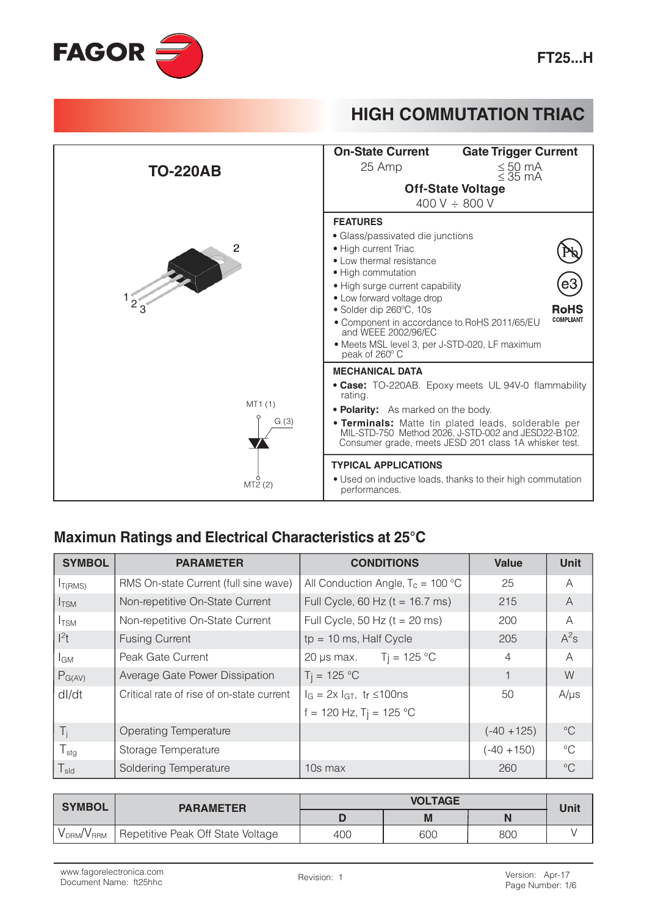



#### Maximun Ratings and Electrical Characteristics at 25°C

| <b>SYMBOL</b>                | <b>PARAMETER</b>                          | <b>CONDITIONS</b>                     | Value          | <b>Unit</b>     |
|------------------------------|-------------------------------------------|---------------------------------------|----------------|-----------------|
| I <sub>T(RMS)</sub>          | RMS On-state Current (full sine wave)     | All Conduction Angle, $T_c = 100 °C$  | 25             | A               |
| $I_{TSM}$                    | Non-repetitive On-State Current           | Full Cycle, 60 Hz ( $t = 16.7$ ms)    | 215            | $\overline{A}$  |
| $I_{TSM}$                    | Non-repetitive On-State Current           | Full Cycle, 50 Hz ( $t = 20$ ms)      | 200            | A               |
| $l^2t$                       | <b>Fusing Current</b>                     | $tp = 10$ ms, Half Cycle              | 205            | $A^2s$          |
| l <sub>GM</sub>              | Peak Gate Current                         | 20 µs max. $Tj = 125 °C$              | $\overline{4}$ | $\mathsf{A}$    |
| $P_{G(AV)}$                  | Average Gate Power Dissipation            | $T_1 = 125 °C$                        |                | W               |
| dl/dt                        | Critical rate of rise of on-state current | $I_G = 2x I_{GT}$ , tr $\leq 100$ ns  | 50             | $A/\mu s$       |
|                              |                                           | $f = 120$ Hz, T <sub>j</sub> = 125 °C |                |                 |
| $T_i$                        | <b>Operating Temperature</b>              |                                       | $(-40 + 125)$  | $\rm ^{\circ}C$ |
| $T_{\text{stg}}$             | Storage Temperature                       |                                       | $(-40 + 150)$  | $^{\circ}C$     |
| ${\mathsf T}_{\textsf{sld}}$ | Soldering Temperature                     | 10s max                               | 260            | $\rm ^{\circ}C$ |

| <b>SYMBOL</b>                      | <b>PARAMETER</b>                  | <b>VOLTAGE</b> |     |     | Unit |  |
|------------------------------------|-----------------------------------|----------------|-----|-----|------|--|
|                                    |                                   |                |     |     |      |  |
| V <sub>DRM</sub> /V <sub>RRM</sub> | Repetitive Peak Off State Voltage | 400            | 600 | 800 |      |  |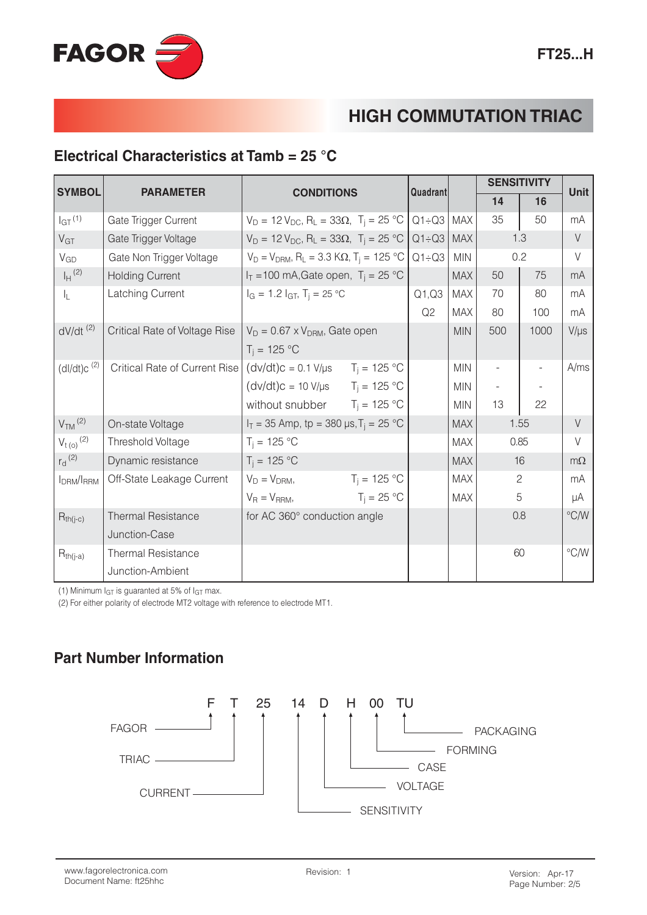

#### Electrical Characteristics at Tamb =  $25 °C$

| <b>SYMBOL</b>                      | <b>PARAMETER</b>              | <b>CONDITIONS</b>                                                           |                       | Quadrant     |            | <b>SENSITIVITY</b>       |      | <b>Unit</b>   |
|------------------------------------|-------------------------------|-----------------------------------------------------------------------------|-----------------------|--------------|------------|--------------------------|------|---------------|
|                                    |                               |                                                                             |                       |              |            | 14                       | 16   |               |
| I <sub>GT</sub> (1)                | Gate Trigger Current          | $V_D = 12 V_{DC}$ , R <sub>L</sub> = 33 $\Omega$ , T <sub>i</sub> = 25 °C   |                       | $Q1 \div Q3$ | <b>MAX</b> | 35                       | 50   | mA            |
| V <sub>GT</sub>                    | Gate Trigger Voltage          | $V_D = 12 V_{DC}$ , R <sub>L</sub> = 33 $\Omega$ , T <sub>i</sub> = 25 °C   |                       | $Q1 \div Q3$ | <b>MAX</b> |                          | 1.3  | $\vee$        |
| $V_{GD}$                           | Gate Non Trigger Voltage      | $V_D = V_{DRM}$ , R <sub>L</sub> = 3.3 K $\Omega$ , T <sub>i</sub> = 125 °C |                       | $Q1 \div Q3$ | <b>MIN</b> | 0.2                      |      | $\vee$        |
| $I_H$ <sup>(2)</sup>               | <b>Holding Current</b>        | $I_T = 100$ mA, Gate open, $T_i = 25$ °C                                    |                       |              | <b>MAX</b> | 50                       | 75   | mA            |
| IL.                                | Latching Current              | $I_G = 1.2 I_{GT}$ , $T_i = 25 °C$                                          |                       | Q1,Q3        | <b>MAX</b> | 70                       | 80   | mA            |
|                                    |                               |                                                                             |                       | Q2           | <b>MAX</b> | 80                       | 100  | mA            |
| $dV/dt$ <sup>(2)</sup>             | Critical Rate of Voltage Rise | $V_D = 0.67 \times V_{DRM}$ , Gate open                                     |                       |              | <b>MIN</b> | 500                      | 1000 | $V/\mu s$     |
|                                    |                               | $T_i = 125 °C$                                                              |                       |              |            |                          |      |               |
| $(dI/dt)c^{(2)}$                   | Critical Rate of Current Rise | $(dv/dt)c = 0.1 V/\mu s$ $T_j = 125 °C$                                     |                       |              | <b>MIN</b> | $\overline{\phantom{a}}$ |      | A/ms          |
|                                    |                               | $(dv/dt)$ c = 10 V/µs $T_i = 125 °C$                                        |                       |              | MIN        |                          |      |               |
|                                    |                               | without snubber $T_i = 125 \text{ }^{\circ}\text{C}$                        |                       |              | <b>MIN</b> | 13                       | 22   |               |
| $VTM$ <sup>(2)</sup>               | On-state Voltage              | $I_T = 35$ Amp, tp = 380 µs, $T_i = 25$ °C                                  |                       |              | <b>MAX</b> | 1.55                     |      | $\vee$        |
| $V_{t(0)}^{(2)}$                   | Threshold Voltage             | $T_i = 125 °C$                                                              |                       |              | <b>MAX</b> | 0.85                     |      | $\vee$        |
| $r_d$ <sup>(2)</sup>               | Dynamic resistance            | $T_i = 125 °C$                                                              |                       |              | <b>MAX</b> | 16                       |      | $m\Omega$     |
| I <sub>DRM</sub> /I <sub>RRM</sub> | Off-State Leakage Current     | $V_D = V_{DRM}$<br>$T_i = 125 °C$                                           |                       |              | <b>MAX</b> | $\overline{c}$           |      | mA            |
|                                    |                               | $V_R = V_{RRM}$                                                             | $T_i = 25 \text{ °C}$ |              | <b>MAX</b> |                          | 5    | μA            |
| $R_{th(j-c)}$                      | <b>Thermal Resistance</b>     | for AC 360° conduction angle                                                |                       |              |            |                          | 0.8  | $\degree$ C/W |
|                                    | Junction-Case                 |                                                                             |                       |              |            |                          |      |               |
| $R_{th(j-a)}$                      | <b>Thermal Resistance</b>     |                                                                             |                       |              |            |                          | 60   | $\degree$ C/W |
|                                    | Junction-Ambient              |                                                                             |                       |              |            |                          |      |               |

(1) Minimum  $I_{GT}$  is guaranted at 5% of  $I_{GT}$  max.

(2) For either polarity of electrode MT2 voltage with reference to electrode MT1.

#### **Part Number Information**

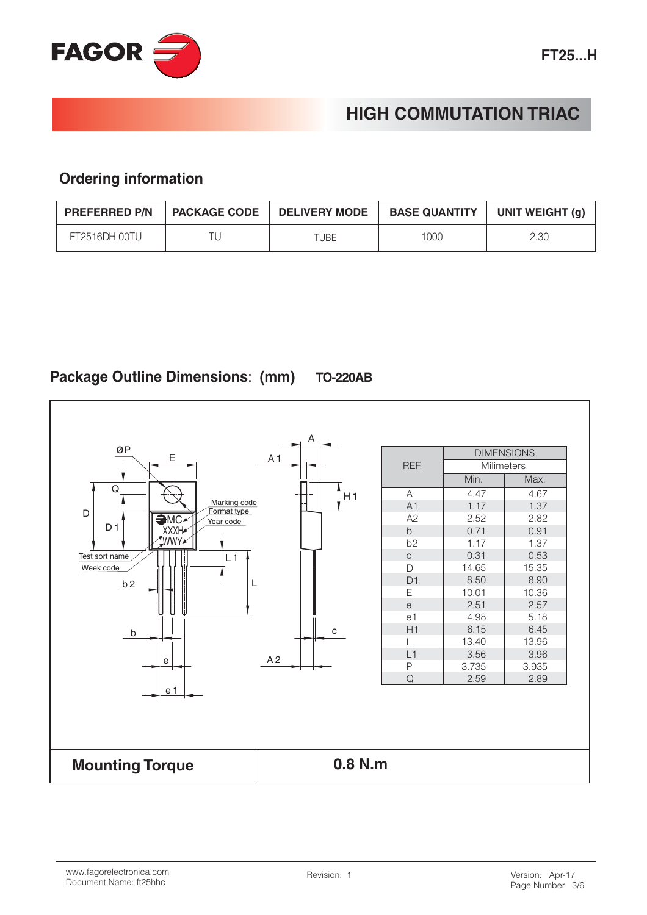

#### **Ordering information**

| <b>PREFERRED P/N</b> | <b>I PACKAGE CODE</b> | <b>DELIVERY MODE</b> | <b>BASE QUANTITY</b> | UNIT WEIGHT (g) |
|----------------------|-----------------------|----------------------|----------------------|-----------------|
| FT2516DH 00TU        |                       |                      | 1000                 | 2.30            |

#### Package Outline Dimensions: (mm) **TO-220AB**

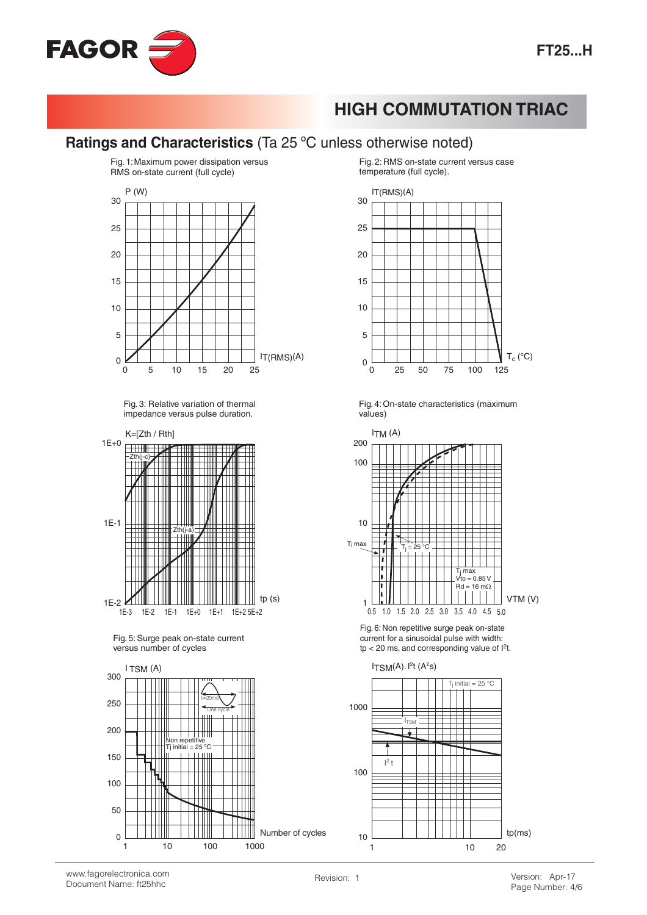

## Ratings and Characteristics (Ta 25 °C unless otherwise noted)



Fig. 3: Relative variation of thermal impedance versus pulse duration.



Fig. 5: Surge peak on-state current versus number of cycles



Fig. 2: RMS on-state current versus case temperature (full cycle).



Fig. 4: On-state characteristics (maximum values)



Fig. 6: Non repetitive surge peak on-state current for a sinusoidal pulse with width:  $tp < 20$  ms, and corresponding value of  $P$ .

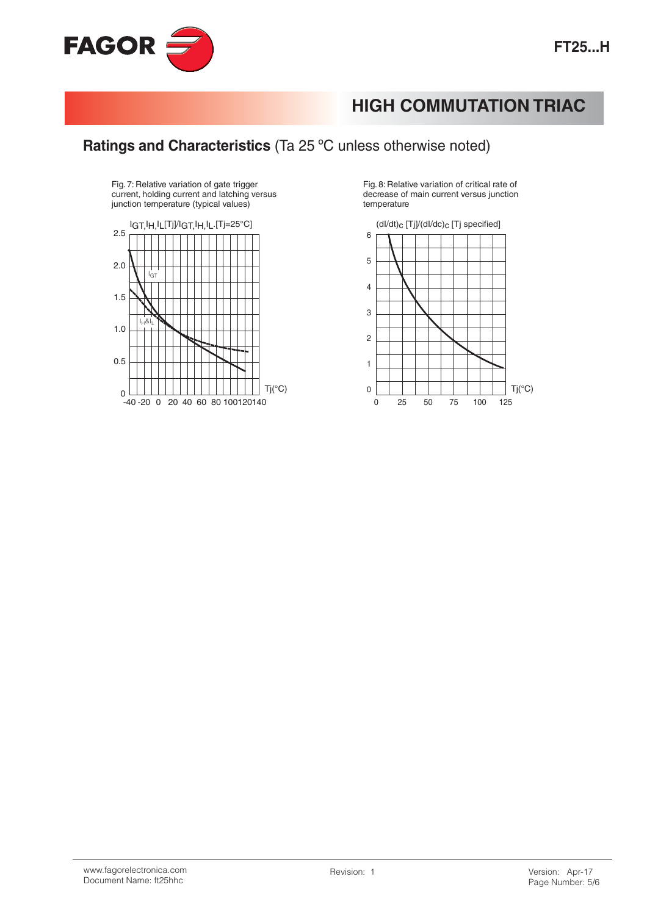## Ratings and Characteristics (Ta 25 °C unless otherwise noted)

Fig. 7: Relative variation of gate trigger<br>current, holding current and latching versus junction temperature (typical values)



Fig. 8: Relative variation of critical rate of decrease of main current versus junction temperature